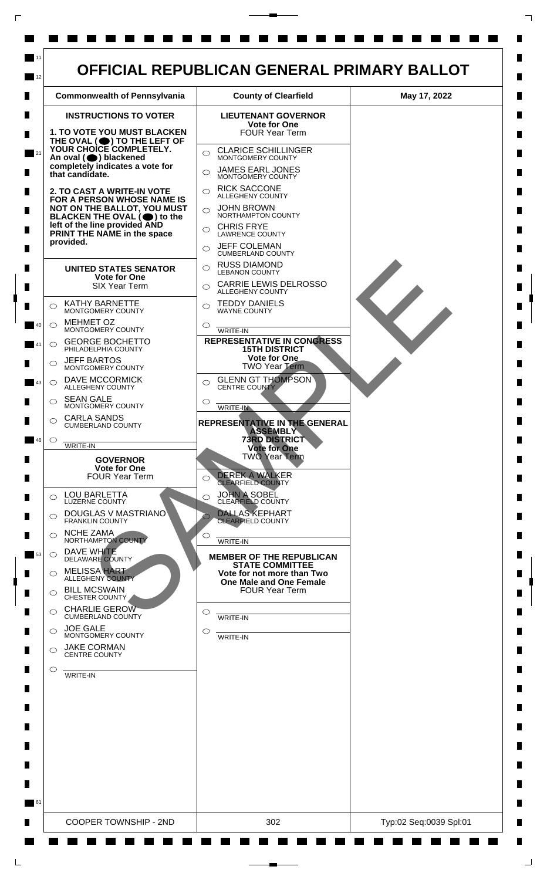

 $\Box$ 

 $\Box$